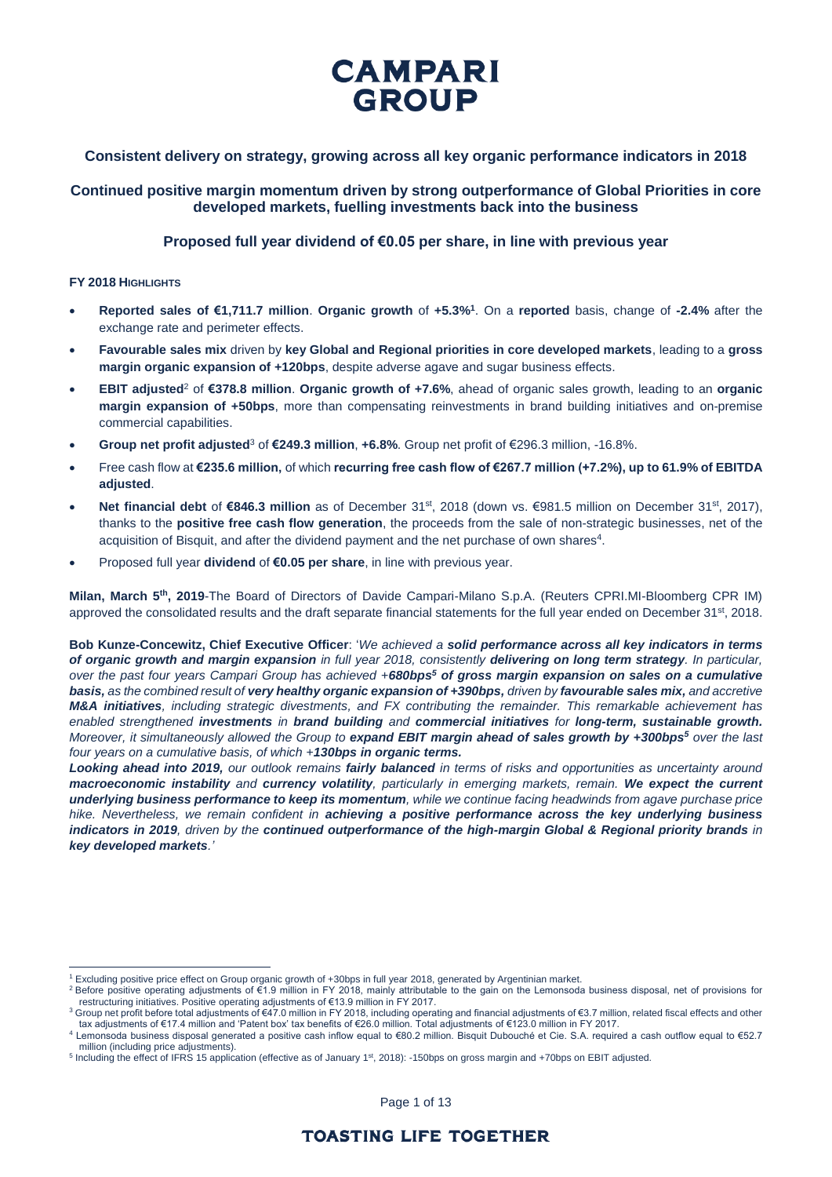## **Consistent delivery on strategy, growing across all key organic performance indicators in 2018**

**Continued positive margin momentum driven by strong outperformance of Global Priorities in core developed markets, fuelling investments back into the business**

### **Proposed full year dividend of €0.05 per share, in line with previous year**

#### **FY 2018 HIGHLIGHTS**

 $\overline{a}$ 

- **Reported sales of €1,711.7 million**. **Organic growth** of **+5.3%<sup>1</sup>** . On a **reported** basis, change of **-2.4%** after the exchange rate and perimeter effects.
- **Favourable sales mix** driven by **key Global and Regional priorities in core developed markets**, leading to a **gross margin organic expansion of +120bps**, despite adverse agave and sugar business effects.
- **EBIT adjusted**<sup>2</sup> of **€378.8 million**. **Organic growth of +7.6%**, ahead of organic sales growth, leading to an **organic margin expansion of +50bps**, more than compensating reinvestments in brand building initiatives and on-premise commercial capabilities.
- **Group net profit adjusted**<sup>3</sup> of **€249.3 million**, **+6.8%**. Group net profit of €296.3 million, -16.8%.
- Free cash flow at **€235.6 million,** of which **recurring free cash flow of €267.7 million (+7.2%), up to 61.9% of EBITDA adjusted**.
- **Net financial debt** of €846.3 million as of December 31<sup>st</sup>, 2018 (down vs. €981.5 million on December 31<sup>st</sup>, 2017), thanks to the **positive free cash flow generation**, the proceeds from the sale of non-strategic businesses, net of the acquisition of Bisquit, and after the dividend payment and the net purchase of own shares<sup>4</sup>.
- Proposed full year **dividend** of **€0.05 per share**, in line with previous year.

**Milan, March 5th, 2019**-The Board of Directors of Davide Campari-Milano S.p.A. (Reuters CPRI.MI-Bloomberg CPR IM) approved the consolidated results and the draft separate financial statements for the full year ended on December  $31^{st}$ , 2018.

**Bob Kunze-Concewitz, Chief Executive Officer**: '*We achieved a solid performance across all key indicators in terms of organic growth and margin expansion in full year 2018, consistently delivering on long term strategy. In particular, over the past four years Campari Group has achieved +680bps<sup>5</sup> of gross margin expansion on sales on a cumulative basis, as the combined result of very healthy organic expansion of +390bps, driven by favourable sales mix, and accretive M&A initiatives, including strategic divestments, and FX contributing the remainder. This remarkable achievement has enabled strengthened investments in brand building and commercial initiatives for long-term, sustainable growth. Moreover, it simultaneously allowed the Group to expand EBIT margin ahead of sales growth by +300bps<sup>5</sup> over the last four years on a cumulative basis, of which +130bps in organic terms.*

*Looking ahead into 2019, our outlook remains fairly balanced in terms of risks and opportunities as uncertainty around macroeconomic instability and currency volatility, particularly in emerging markets, remain. We expect the current underlying business performance to keep its momentum, while we continue facing headwinds from agave purchase price hike. Nevertheless, we remain confident in achieving a positive performance across the key underlying business indicators in 2019, driven by the continued outperformance of the high-margin Global & Regional priority brands in key developed markets.'*

<sup>1</sup> Excluding positive price effect on Group organic growth of +30bps in full year 2018, generated by Argentinian market.

<sup>2</sup> Before positive operating adjustments of €1.9 million in FY 2018, mainly attributable to the gain on the Lemonsoda business disposal, net of provisions for restructuring initiatives. Positive operating adjustments of €13.9 million in FY 2017.

<sup>&</sup>lt;sup>3</sup> Group net profit before total adjustments of €47.0 million in FY 2018, including operating and financial adjustments of €3.7 million, related fiscal effects and other tax adjustments of €17.4 million and 'Patent box' tax benefits of €26.0 million. Total adjustments of €123.0 million in FY 2017.

<sup>4</sup> Lemonsoda business disposal generated a positive cash inflow equal to €80.2 million. Bisquit Dubouché et Cie. S.A. required a cash outflow equal to €52.7 million (including price adjustments).

<sup>&</sup>lt;sup>5</sup> Including the effect of IFRS 15 application (effective as of January 1<sup>st</sup>, 2018): -150bps on gross margin and +70bps on EBIT adjusted.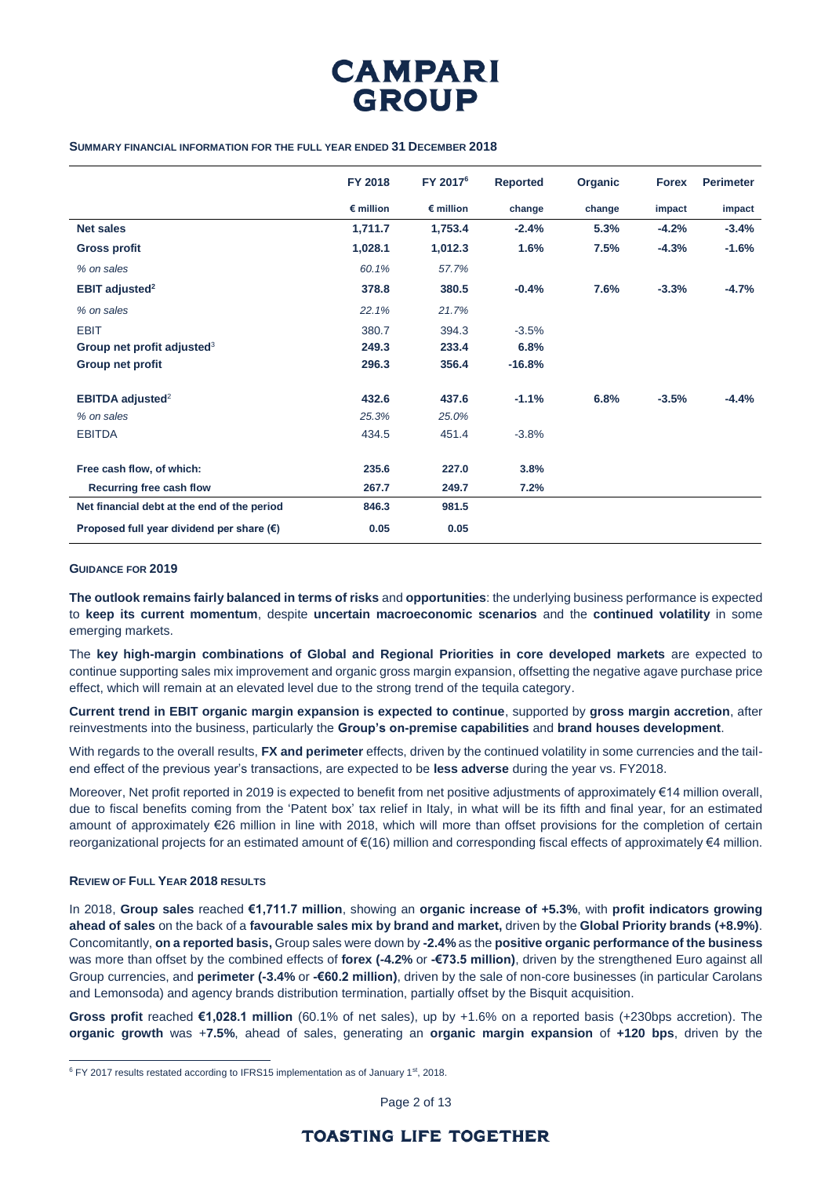

#### **SUMMARY FINANCIAL INFORMATION FOR THE FULL YEAR ENDED 31 DECEMBER 2018**

|                                                    | FY 2018            | FY 2017 <sup>6</sup> | <b>Reported</b> | Organic | <b>Forex</b> | <b>Perimeter</b> |
|----------------------------------------------------|--------------------|----------------------|-----------------|---------|--------------|------------------|
|                                                    | $\epsilon$ million | $\epsilon$ million   | change          | change  | impact       | impact           |
| <b>Net sales</b>                                   | 1,711.7            | 1,753.4              | $-2.4%$         | 5.3%    | $-4.2%$      | $-3.4%$          |
| <b>Gross profit</b>                                | 1,028.1            | 1,012.3              | 1.6%            | 7.5%    | $-4.3%$      | $-1.6%$          |
| % on sales                                         | 60.1%              | 57.7%                |                 |         |              |                  |
| <b>EBIT adjusted<sup>2</sup></b>                   | 378.8              | 380.5                | $-0.4%$         | 7.6%    | $-3.3%$      | $-4.7%$          |
| % on sales                                         | 22.1%              | 21.7%                |                 |         |              |                  |
| <b>EBIT</b>                                        | 380.7              | 394.3                | $-3.5%$         |         |              |                  |
| Group net profit adjusted $3$                      | 249.3              | 233.4                | 6.8%            |         |              |                  |
| Group net profit                                   | 296.3              | 356.4                | $-16.8%$        |         |              |                  |
| <b>EBITDA adjusted<sup>2</sup></b>                 | 432.6              | 437.6                | $-1.1%$         | 6.8%    | $-3.5%$      | $-4.4%$          |
| % on sales                                         | 25.3%              | 25.0%                |                 |         |              |                  |
| <b>EBITDA</b>                                      | 434.5              | 451.4                | $-3.8%$         |         |              |                  |
| Free cash flow, of which:                          | 235.6              | 227.0                | 3.8%            |         |              |                  |
| Recurring free cash flow                           | 267.7              | 249.7                | 7.2%            |         |              |                  |
| Net financial debt at the end of the period        | 846.3              | 981.5                |                 |         |              |                  |
| Proposed full year dividend per share $(\epsilon)$ | 0.05               | 0.05                 |                 |         |              |                  |

#### **GUIDANCE FOR 2019**

**The outlook remains fairly balanced in terms of risks** and **opportunities**: the underlying business performance is expected to **keep its current momentum**, despite **uncertain macroeconomic scenarios** and the **continued volatility** in some emerging markets.

The **key high-margin combinations of Global and Regional Priorities in core developed markets** are expected to continue supporting sales mix improvement and organic gross margin expansion, offsetting the negative agave purchase price effect, which will remain at an elevated level due to the strong trend of the tequila category.

**Current trend in EBIT organic margin expansion is expected to continue**, supported by **gross margin accretion**, after reinvestments into the business, particularly the **Group's on-premise capabilities** and **brand houses development**.

With regards to the overall results, **FX and perimeter** effects, driven by the continued volatility in some currencies and the tailend effect of the previous year's transactions, are expected to be **less adverse** during the year vs. FY2018.

Moreover, Net profit reported in 2019 is expected to benefit from net positive adjustments of approximately €14 million overall, due to fiscal benefits coming from the 'Patent box' tax relief in Italy, in what will be its fifth and final year, for an estimated amount of approximately €26 million in line with 2018, which will more than offset provisions for the completion of certain reorganizational projects for an estimated amount of €(16) million and corresponding fiscal effects of approximately €4 million.

#### **REVIEW OF FULL YEAR 2018 RESULTS**

 $\overline{a}$ 

In 2018, **Group sales** reached **€1,711.7 million**, showing an **organic increase of +5.3%**, with **profit indicators growing ahead of sales** on the back of a **favourable sales mix by brand and market,** driven by the **Global Priority brands (+8.9%)**. Concomitantly, **on a reported basis,** Group sales were down by **-2.4%** as the **positive organic performance of the business** was more than offset by the combined effects of **forex (-4.2%** or **-€73.5 million)**, driven by the strengthened Euro against all Group currencies, and **perimeter (-3.4%** or **-€60.2 million)**, driven by the sale of non-core businesses (in particular Carolans and Lemonsoda) and agency brands distribution termination, partially offset by the Bisquit acquisition.

**Gross profit** reached **€1,028.1 million** (60.1% of net sales), up by +1.6% on a reported basis (+230bps accretion). The **organic growth** was +**7.5%**, ahead of sales, generating an **organic margin expansion** of **+120 bps**, driven by the

Page 2 of 13

<sup>&</sup>lt;sup>6</sup> FY 2017 results restated according to IFRS15 implementation as of January 1<sup>st</sup>, 2018.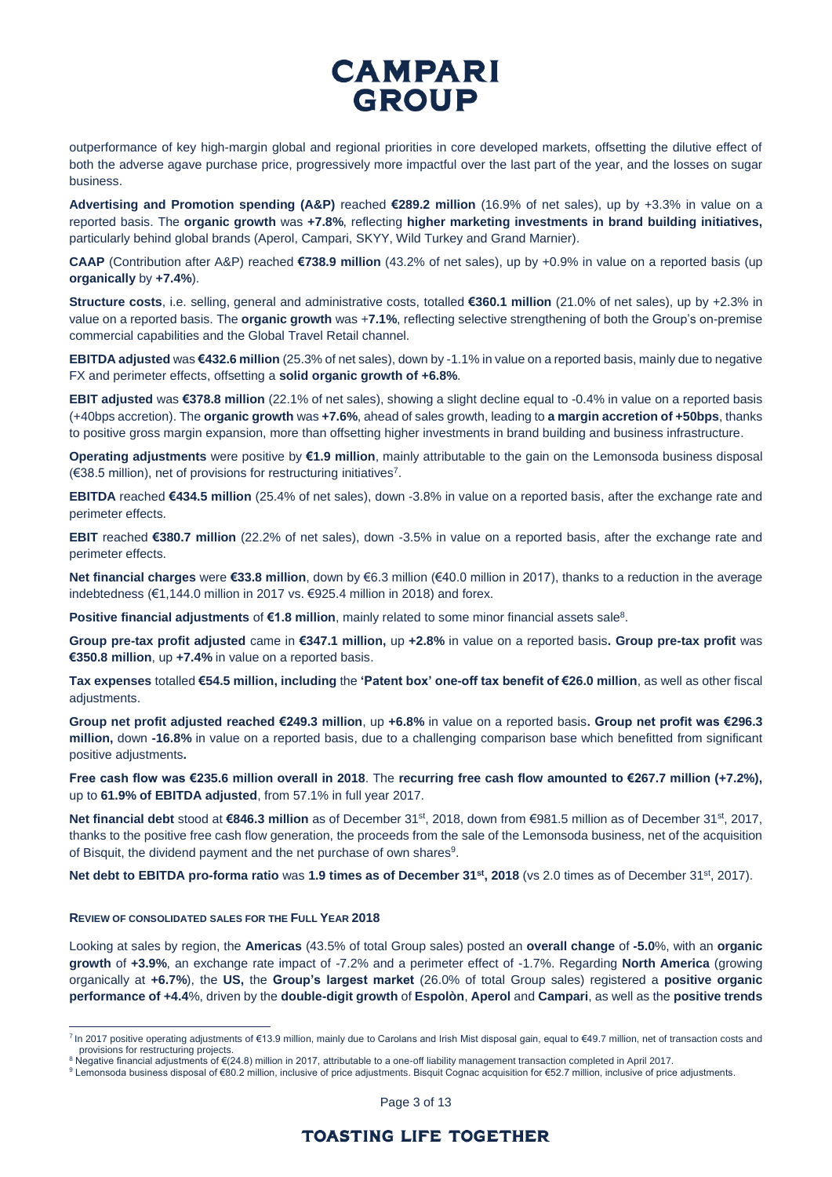outperformance of key high-margin global and regional priorities in core developed markets, offsetting the dilutive effect of both the adverse agave purchase price, progressively more impactful over the last part of the year, and the losses on sugar business.

**Advertising and Promotion spending (A&P)** reached **€289.2 million** (16.9% of net sales), up by +3.3% in value on a reported basis. The **organic growth** was **+7.8%**, reflecting **higher marketing investments in brand building initiatives,**  particularly behind global brands (Aperol, Campari, SKYY, Wild Turkey and Grand Marnier).

**CAAP** (Contribution after A&P) reached **€738.9 million** (43.2% of net sales), up by +0.9% in value on a reported basis (up **organically** by **+7.4%**).

**Structure costs**, i.e. selling, general and administrative costs, totalled **€360.1 million** (21.0% of net sales), up by +2.3% in value on a reported basis. The **organic growth** was +**7.1%**, reflecting selective strengthening of both the Group's on-premise commercial capabilities and the Global Travel Retail channel.

**EBITDA adjusted** was **€432.6 million** (25.3% of net sales), down by -1.1% in value on a reported basis, mainly due to negative FX and perimeter effects, offsetting a **solid organic growth of +6.8%**.

**EBIT adjusted** was **€378.8 million** (22.1% of net sales), showing a slight decline equal to -0.4% in value on a reported basis (+40bps accretion). The **organic growth** was **+7.6%**, ahead of sales growth, leading to **a margin accretion of +50bps**, thanks to positive gross margin expansion, more than offsetting higher investments in brand building and business infrastructure.

**Operating adjustments** were positive by **€1.9 million**, mainly attributable to the gain on the Lemonsoda business disposal (€38.5 million), net of provisions for restructuring initiatives<sup>7</sup> .

**EBITDA** reached **€434.5 million** (25.4% of net sales), down -3.8% in value on a reported basis, after the exchange rate and perimeter effects.

**EBIT** reached **€380.7 million** (22.2% of net sales), down -3.5% in value on a reported basis, after the exchange rate and perimeter effects.

**Net financial charges** were **€33.8 million**, down by €6.3 million (€40.0 million in 2017), thanks to a reduction in the average indebtedness (€1,144.0 million in 2017 vs. €925.4 million in 2018) and forex.

**Positive financial adjustments** of €1.8 million, mainly related to some minor financial assets sale<sup>8</sup>.

**Group pre-tax profit adjusted** came in **€347.1 million,** up **+2.8%** in value on a reported basis**. Group pre-tax profit** was **€350.8 million**, up **+7.4%** in value on a reported basis.

**Tax expenses** totalled **€54.5 million, including** the **'Patent box' one-off tax benefit of €26.0 million**, as well as other fiscal adiustments.

**Group net profit adjusted reached €249.3 million**, up **+6.8%** in value on a reported basis**. Group net profit was €296.3 million,** down **-16.8%** in value on a reported basis, due to a challenging comparison base which benefitted from significant positive adjustments**.**

**Free cash flow was €235.6 million overall in 2018**. The **recurring free cash flow amounted to €267.7 million (+7.2%),**  up to **61.9% of EBITDA adjusted**, from 57.1% in full year 2017.

Net financial debt stood at €846.3 million as of December 31st, 2018, down from €981.5 million as of December 31st, 2017, thanks to the positive free cash flow generation, the proceeds from the sale of the Lemonsoda business, net of the acquisition of Bisquit, the dividend payment and the net purchase of own shares<sup>9</sup>.

**Net debt to EBITDA pro-forma ratio** was **1.9 times as of December 31 st, 2018** (vs 2.0 times as of December 31st, 2017).

#### **REVIEW OF CONSOLIDATED SALES FOR THE FULL YEAR 2018**

 $\overline{a}$ 

Looking at sales by region, the **Americas** (43.5% of total Group sales) posted an **overall change** of **-5.0**%, with an **organic growth** of **+3.9%**, an exchange rate impact of -7.2% and a perimeter effect of -1.7%. Regarding **North America** (growing organically at **+6.7%**), the **US,** the **Group's largest market** (26.0% of total Group sales) registered a **positive organic performance of +4.4**%, driven by the **double-digit growth** of **Espolòn**, **Aperol** and **Campari**, as well as the **positive trends**

Page 3 of 13

<sup>7</sup> In 2017 positive operating adjustments of €13.9 million, mainly due to Carolans and Irish Mist disposal gain, equal to €49.7 million, net of transaction costs and provisions for restructuring projects.

<sup>8</sup> Negative financial adjustments of €(24.8) million in 2017, attributable to a one-off liability management transaction completed in April 2017.

<sup>9</sup> Lemonsoda business disposal of €80.2 million, inclusive of price adjustments. Bisquit Cognac acquisition for €52.7 million, inclusive of price adjustments.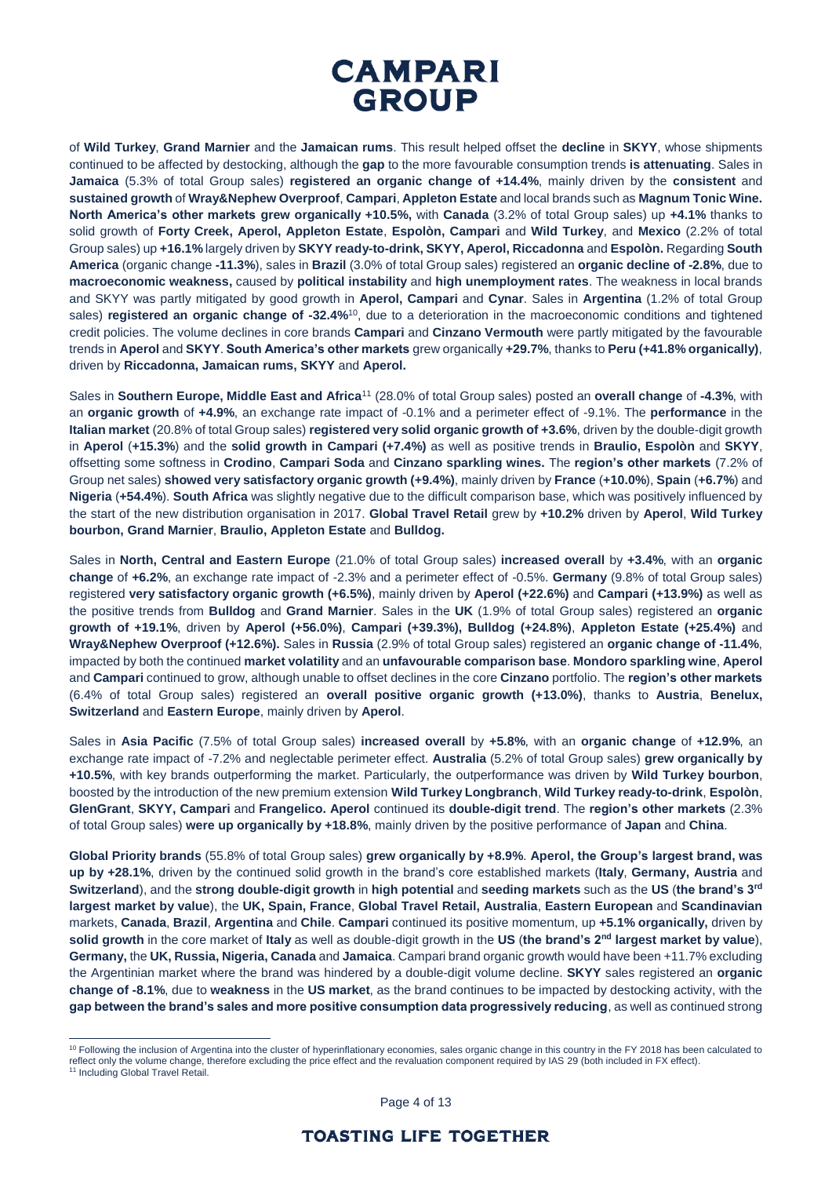

of **Wild Turkey**, **Grand Marnier** and the **Jamaican rums**. This result helped offset the **decline** in **SKYY**, whose shipments continued to be affected by destocking, although the **gap** to the more favourable consumption trends **is attenuating**. Sales in **Jamaica** (5.3% of total Group sales) **registered an organic change of +14.4%**, mainly driven by the **consistent** and **sustained growth** of **Wray&Nephew Overproof**, **Campari**, **Appleton Estate** and local brands such as **Magnum Tonic Wine. North America's other markets grew organically +10.5%,** with **Canada** (3.2% of total Group sales) up **+4.1%** thanks to solid growth of **Forty Creek, Aperol, Appleton Estate**, **Espolòn, Campari** and **Wild Turkey**, and **Mexico** (2.2% of total Group sales) up **+16.1%** largely driven by **SKYY ready-to-drink, SKYY, Aperol, Riccadonna** and **Espolòn.** Regarding **South America** (organic change **-11.3%**), sales in **Brazil** (3.0% of total Group sales) registered an **organic decline of -2.8%**, due to **macroeconomic weakness,** caused by **political instability** and **high unemployment rates**. The weakness in local brands and SKYY was partly mitigated by good growth in **Aperol, Campari** and **Cynar**. Sales in **Argentina** (1.2% of total Group sales) **registered an organic change of -32.4%**<sup>10</sup> , due to a deterioration in the macroeconomic conditions and tightened credit policies. The volume declines in core brands **Campari** and **Cinzano Vermouth** were partly mitigated by the favourable trends in **Aperol** and **SKYY**. **South America's other markets** grew organically **+29.7%**, thanks to **Peru (+41.8% organically)**, driven by **Riccadonna, Jamaican rums, SKYY** and **Aperol.**

Sales in **Southern Europe, Middle East and Africa**<sup>11</sup> (28.0% of total Group sales) posted an **overall change** of **-4.3%**, with an **organic growth** of **+4.9%**, an exchange rate impact of -0.1% and a perimeter effect of -9.1%. The **performance** in the **Italian market** (20.8% of total Group sales) **registered very solid organic growth of +3.6%**, driven by the double-digit growth in **Aperol** (**+15.3%**) and the **solid growth in Campari (+7.4%)** as well as positive trends in **Braulio, Espolòn** and **SKYY**, offsetting some softness in **Crodino**, **Campari Soda** and **Cinzano sparkling wines.** The **region's other markets** (7.2% of Group net sales) **showed very satisfactory organic growth (+9.4%)**, mainly driven by **France** (**+10.0%**), **Spain** (**+6.7%**) and **Nigeria** (**+54.4%**). **South Africa** was slightly negative due to the difficult comparison base, which was positively influenced by the start of the new distribution organisation in 2017. **Global Travel Retail** grew by **+10.2%** driven by **Aperol**, **Wild Turkey bourbon, Grand Marnier**, **Braulio, Appleton Estate** and **Bulldog.**

Sales in **North, Central and Eastern Europe** (21.0% of total Group sales) **increased overall** by **+3.4%**, with an **organic change** of **+6.2%**, an exchange rate impact of -2.3% and a perimeter effect of -0.5%. **Germany** (9.8% of total Group sales) registered **very satisfactory organic growth (+6.5%)**, mainly driven by **Aperol (+22.6%)** and **Campari (+13.9%)** as well as the positive trends from **Bulldog** and **Grand Marnier**. Sales in the **UK** (1.9% of total Group sales) registered an **organic growth of +19.1%**, driven by **Aperol (+56.0%)**, **Campari (+39.3%), Bulldog (+24.8%)**, **Appleton Estate (+25.4%)** and **Wray&Nephew Overproof (+12.6%).** Sales in **Russia** (2.9% of total Group sales) registered an **organic change of -11.4%**, impacted by both the continued **market volatility** and an **unfavourable comparison base**. **Mondoro sparkling wine**, **Aperol** and **Campari** continued to grow, although unable to offset declines in the core **Cinzano** portfolio. The **region's other markets**  (6.4% of total Group sales) registered an **overall positive organic growth (+13.0%)**, thanks to **Austria**, **Benelux, Switzerland** and **Eastern Europe**, mainly driven by **Aperol**.

Sales in **Asia Pacific** (7.5% of total Group sales) **increased overall** by **+5.8%**, with an **organic change** of **+12.9%**, an exchange rate impact of -7.2% and neglectable perimeter effect. **Australia** (5.2% of total Group sales) **grew organically by +10.5%**, with key brands outperforming the market. Particularly, the outperformance was driven by **Wild Turkey bourbon**, boosted by the introduction of the new premium extension **Wild Turkey Longbranch**, **Wild Turkey ready-to-drink**, **Espolòn**, **GlenGrant**, **SKYY, Campari** and **Frangelico. Aperol** continued its **double-digit trend**. The **region's other markets** (2.3% of total Group sales) **were up organically by +18.8%**, mainly driven by the positive performance of **Japan** and **China**.

**Global Priority brands** (55.8% of total Group sales) **grew organically by +8.9%**. **Aperol, the Group's largest brand, was up by +28.1%**, driven by the continued solid growth in the brand's core established markets (**Italy**, **Germany, Austria** and **Switzerland**), and the **strong double-digit growth** in **high potential** and **seeding markets** such as the **US** (**the brand's 3rd largest market by value**), the **UK, Spain, France**, **Global Travel Retail, Australia**, **Eastern European** and **Scandinavian**  markets, **Canada**, **Brazil**, **Argentina** and **Chile**. **Campari** continued its positive momentum, up **+5.1% organically,** driven by **solid growth** in the core market of **Italy** as well as double-digit growth in the **US** (**the brand's 2nd largest market by value**), **Germany,** the **UK, Russia, Nigeria, Canada** and **Jamaica**. Campari brand organic growth would have been +11.7% excluding the Argentinian market where the brand was hindered by a double-digit volume decline. **SKYY** sales registered an **organic change of -8.1%**, due to **weakness** in the **US market**, as the brand continues to be impacted by destocking activity, with the **gap between the brand's sales and more positive consumption data progressively reducing**, as well as continued strong

 $\overline{a}$ 

Page 4 of 13

<sup>&</sup>lt;sup>10</sup> Following the inclusion of Argentina into the cluster of hyperinflationary economies, sales organic change in this country in the FY 2018 has been calculated to reflect only the volume change, therefore excluding the price effect and the revaluation component required by IAS 29 (both included in FX effect).<br><sup>11</sup> Including Global Travel Retail.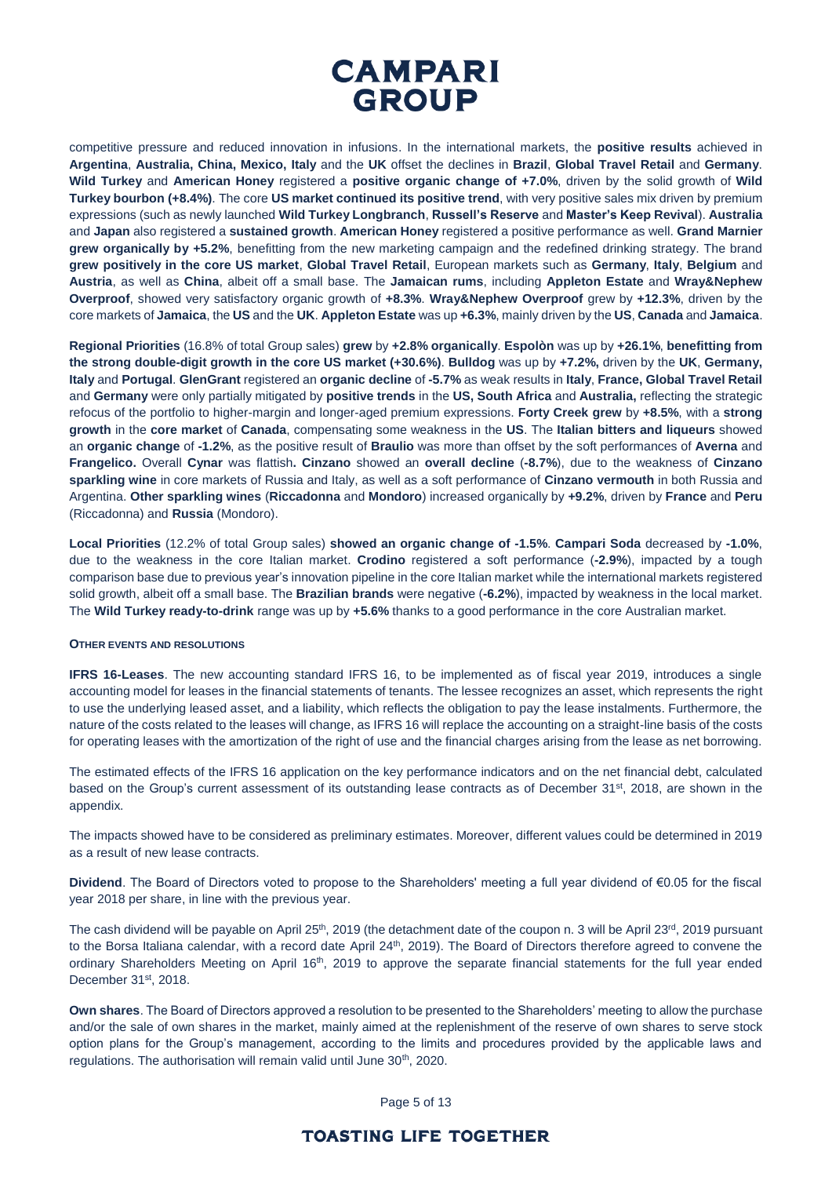

competitive pressure and reduced innovation in infusions. In the international markets, the **positive results** achieved in **Argentina**, **Australia, China, Mexico, Italy** and the **UK** offset the declines in **Brazil**, **Global Travel Retail** and **Germany**. **Wild Turkey** and **American Honey** registered a **positive organic change of +7.0%**, driven by the solid growth of **Wild Turkey bourbon (+8.4%)**. The core **US market continued its positive trend**, with very positive sales mix driven by premium expressions (such as newly launched **Wild Turkey Longbranch**, **Russell's Reserve** and **Master's Keep Revival**). **Australia** and **Japan** also registered a **sustained growth**. **American Honey** registered a positive performance as well. **Grand Marnier grew organically by +5.2%**, benefitting from the new marketing campaign and the redefined drinking strategy. The brand **grew positively in the core US market**, **Global Travel Retail**, European markets such as **Germany**, **Italy**, **Belgium** and **Austria**, as well as **China**, albeit off a small base. The **Jamaican rums**, including **Appleton Estate** and **Wray&Nephew Overproof**, showed very satisfactory organic growth of **+8.3%**. **Wray&Nephew Overproof** grew by **+12.3%**, driven by the core markets of **Jamaica**, the **US** and the **UK**. **Appleton Estate** was up **+6.3%**, mainly driven by the **US**, **Canada** and **Jamaica**.

**Regional Priorities** (16.8% of total Group sales) **grew** by **+2.8% organically**. **Espolòn** was up by **+26.1%**, **benefitting from the strong double-digit growth in the core US market (+30.6%)**. **Bulldog** was up by **+7.2%,** driven by the **UK**, **Germany, Italy** and **Portugal**. **GlenGrant** registered an **organic decline** of **-5.7%** as weak results in **Italy**, **France, Global Travel Retail** and **Germany** were only partially mitigated by **positive trends** in the **US, South Africa** and **Australia,** reflecting the strategic refocus of the portfolio to higher-margin and longer-aged premium expressions. **Forty Creek grew** by **+8.5%**, with a **strong growth** in the **core market** of **Canada**, compensating some weakness in the **US**. The **Italian bitters and liqueurs** showed an **organic change** of **-1.2%**, as the positive result of **Braulio** was more than offset by the soft performances of **Averna** and **Frangelico.** Overall **Cynar** was flattish**. Cinzano** showed an **overall decline** (**-8.7%**), due to the weakness of **Cinzano sparkling wine** in core markets of Russia and Italy, as well as a soft performance of **Cinzano vermouth** in both Russia and Argentina. **Other sparkling wines** (**Riccadonna** and **Mondoro**) increased organically by **+9.2%**, driven by **France** and **Peru** (Riccadonna) and **Russia** (Mondoro).

**Local Priorities** (12.2% of total Group sales) **showed an organic change of -1.5%**. **Campari Soda** decreased by **-1.0%**, due to the weakness in the core Italian market. **Crodino** registered a soft performance (**-2.9%**), impacted by a tough comparison base due to previous year's innovation pipeline in the core Italian market while the international markets registered solid growth, albeit off a small base. The **Brazilian brands** were negative (**-6.2%**), impacted by weakness in the local market. The **Wild Turkey ready-to-drink** range was up by **+5.6%** thanks to a good performance in the core Australian market.

#### **OTHER EVENTS AND RESOLUTIONS**

**IFRS 16-Leases**. The new accounting standard IFRS 16, to be implemented as of fiscal year 2019, introduces a single accounting model for leases in the financial statements of tenants. The lessee recognizes an asset, which represents the right to use the underlying leased asset, and a liability, which reflects the obligation to pay the lease instalments. Furthermore, the nature of the costs related to the leases will change, as IFRS 16 will replace the accounting on a straight-line basis of the costs for operating leases with the amortization of the right of use and the financial charges arising from the lease as net borrowing.

The estimated effects of the IFRS 16 application on the key performance indicators and on the net financial debt, calculated based on the Group's current assessment of its outstanding lease contracts as of December 31<sup>st</sup>, 2018, are shown in the appendix.

The impacts showed have to be considered as preliminary estimates. Moreover, different values could be determined in 2019 as a result of new lease contracts.

**Dividend**. The Board of Directors voted to propose to the Shareholders' meeting a full year dividend of €0.05 for the fiscal year 2018 per share, in line with the previous year.

The cash dividend will be payable on April 25<sup>th</sup>, 2019 (the detachment date of the coupon n. 3 will be April 23<sup>rd</sup>, 2019 pursuant to the Borsa Italiana calendar, with a record date April 24<sup>th</sup>, 2019). The Board of Directors therefore agreed to convene the ordinary Shareholders Meeting on April 16<sup>th</sup>, 2019 to approve the separate financial statements for the full year ended December 31<sup>st</sup>, 2018.

**Own shares**. The Board of Directors approved a resolution to be presented to the Shareholders' meeting to allow the purchase and/or the sale of own shares in the market, mainly aimed at the replenishment of the reserve of own shares to serve stock option plans for the Group's management, according to the limits and procedures provided by the applicable laws and regulations. The authorisation will remain valid until June 30<sup>th</sup>, 2020.

Page 5 of 13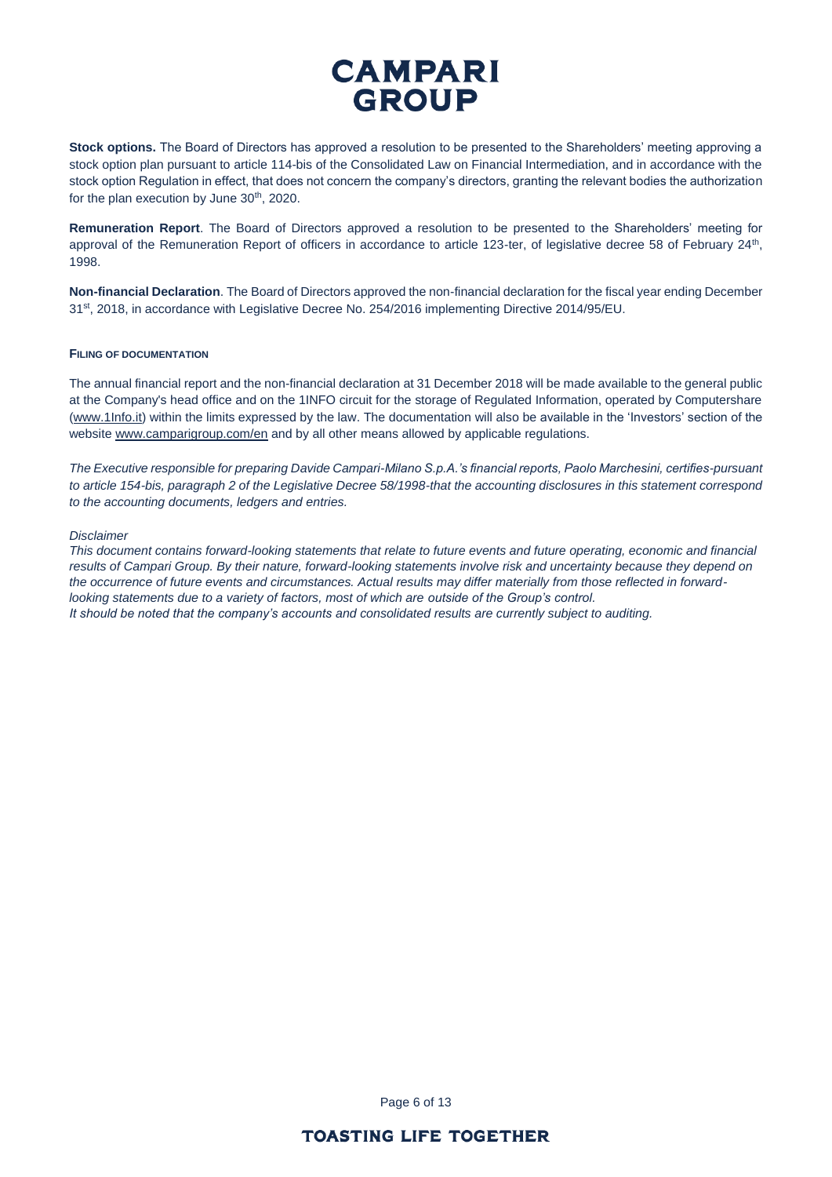**Stock options.** The Board of Directors has approved a resolution to be presented to the Shareholders' meeting approving a stock option plan pursuant to article 114-bis of the Consolidated Law on Financial Intermediation, and in accordance with the stock option Regulation in effect, that does not concern the company's directors, granting the relevant bodies the authorization for the plan execution by June  $30<sup>th</sup>$ , 2020.

**Remuneration Report**. The Board of Directors approved a resolution to be presented to the Shareholders' meeting for approval of the Remuneration Report of officers in accordance to article 123-ter, of legislative decree 58 of February 24<sup>th</sup>, 1998.

**Non-financial Declaration**. The Board of Directors approved the non-financial declaration for the fiscal year ending December 31<sup>st</sup>, 2018, in accordance with Legislative Decree No. 254/2016 implementing Directive 2014/95/EU.

#### **FILING OF DOCUMENTATION**

The annual financial report and the non-financial declaration at 31 December 2018 will be made available to the general public at the Company's head office and on the 1INFO circuit for the storage of Regulated Information, operated by Computershare [\(www.1Info.it\)](http://www.1info.it/) within the limits expressed by the law. The documentation will also be available in the 'Investors' section of the websit[e www.camparigroup.com/en](http://www.camparigroup.com/en) and by all other means allowed by applicable regulations.

*The Executive responsible for preparing Davide Campari-Milano S.p.A.'s financial reports, Paolo Marchesini, certifies-pursuant to article 154-bis, paragraph 2 of the Legislative Decree 58/1998-that the accounting disclosures in this statement correspond to the accounting documents, ledgers and entries.* 

#### *Disclaimer*

*This document contains forward-looking statements that relate to future events and future operating, economic and financial results of Campari Group. By their nature, forward-looking statements involve risk and uncertainty because they depend on the occurrence of future events and circumstances. Actual results may differ materially from those reflected in forwardlooking statements due to a variety of factors, most of which are outside of the Group's control. It should be noted that the company's accounts and consolidated results are currently subject to auditing.*

Page 6 of 13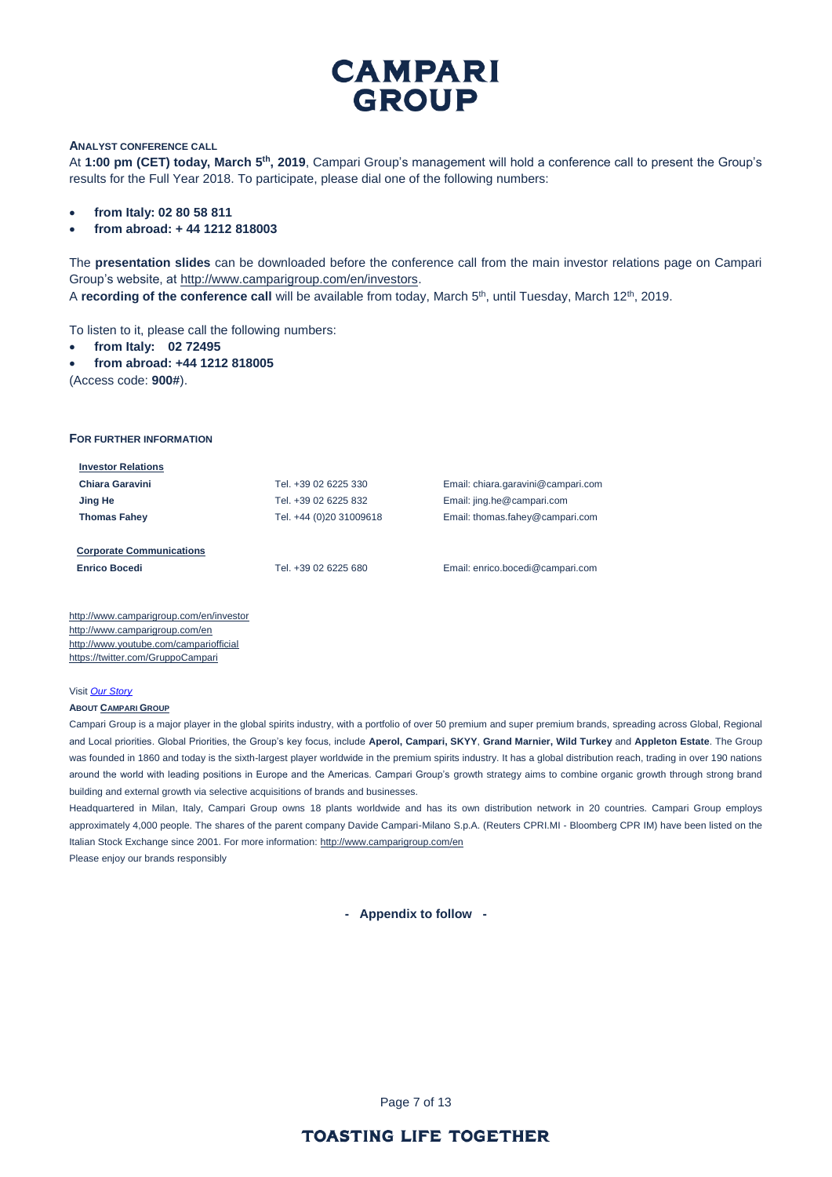#### **ANALYST CONFERENCE CALL**

At **1:00 pm (CET) today, March 5th, 2019**, Campari Group's management will hold a conference call to present the Group's results for the Full Year 2018. To participate, please dial one of the following numbers:

- **from Italy: 02 80 58 811**
- **from abroad: + 44 1212 818003**

The **presentation slides** can be downloaded before the conference call from the main investor relations page on Campari Group's website, at [http://www.camparigroup.com/en/investors.](http://www.camparigroup.com/en/investors) A **recording of the conference call** will be available from today, March 5<sup>th</sup>, until Tuesday, March 12<sup>th</sup>, 2019.

To listen to it, please call the following numbers:

- **from Italy: 02 72495**
- **from abroad: +44 1212 818005**

(Access code: **900#**).

#### **FOR FURTHER INFORMATION**

| <b>Investor Relations</b>       |                         |                                    |
|---------------------------------|-------------------------|------------------------------------|
| Chiara Garavini                 | Tel. +39 02 6225 330    | Email: chiara.garavini@campari.com |
| Jing He                         | Tel. +39 02 6225 832    | Email: jing.he@campari.com         |
| <b>Thomas Fahey</b>             | Tel. +44 (0)20 31009618 | Email: thomas.fahey@campari.com    |
|                                 |                         |                                    |
| <b>Corporate Communications</b> |                         |                                    |
| <b>Enrico Bocedi</b>            | Tel. +39 02 6225 680    | Email: enrico.bocedi@campari.com   |
|                                 |                         |                                    |

http://www.camparigroup.com/en/investor http://www.camparigroup.com/en <http://www.youtube.com/campariofficial> <https://twitter.com/GruppoCampari>

#### Visit *[Our Story](https://youtu.be/ilNVsU9Cigo)*

#### **ABOUT C[AMPARI](http://www.camparigroup.com/en/index.shtml) GROUP**

Campari Group is a major player in the global spirits industry, with a portfolio of over 50 premium and super premium brands, spreading across Global, Regional and Local priorities. Global Priorities, the Group's key focus, include **Aperol, Campari, SKYY**, **Grand Marnier, Wild Turkey** and **Appleton Estate**. The Group was founded in 1860 and today is the sixth-largest player worldwide in the premium spirits industry. It has a global distribution reach, trading in over 190 nations around the world with leading positions in Europe and the Americas. Campari Group's growth strategy aims to combine organic growth through strong brand building and external growth via selective acquisitions of brands and businesses.

Headquartered in Milan, Italy, Campari Group owns 18 plants worldwide and has its own distribution network in 20 countries. Campari Group employs approximately 4,000 people. The shares of the parent company Davide Campari-Milano S.p.A. (Reuters CPRI.MI - Bloomberg CPR IM) have been listed on the Italian Stock Exchange since 2001. For more information: http://www.camparigroup.com/en Please enjoy our brands responsibly

**- Appendix to follow -**

Page 7 of 13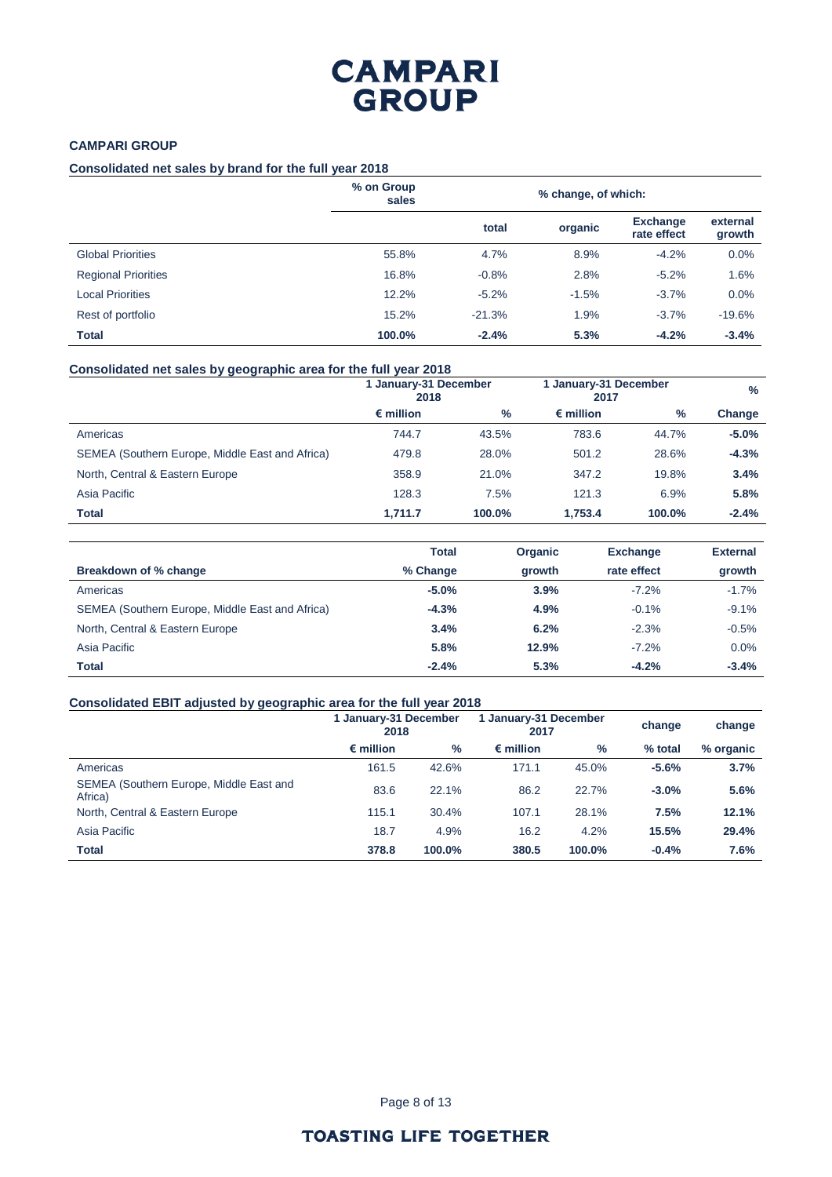## **CAMPARI GROUP**

### **Consolidated net sales by brand for the full year 2018**

|                            | % on Group<br>sales | % change, of which: |         |                                |                    |
|----------------------------|---------------------|---------------------|---------|--------------------------------|--------------------|
|                            |                     | total               | organic | <b>Exchange</b><br>rate effect | external<br>growth |
| <b>Global Priorities</b>   | 55.8%               | 4.7%                | 8.9%    | $-4.2%$                        | 0.0%               |
| <b>Regional Priorities</b> | 16.8%               | $-0.8%$             | 2.8%    | $-5.2%$                        | 1.6%               |
| <b>Local Priorities</b>    | 12.2%               | $-5.2%$             | $-1.5%$ | $-3.7%$                        | 0.0%               |
| Rest of portfolio          | 15.2%               | $-21.3%$            | 1.9%    | $-3.7%$                        | $-19.6%$           |
| <b>Total</b>               | 100.0%              | $-2.4%$             | 5.3%    | $-4.2%$                        | $-3.4%$            |

#### **Consolidated net sales by geographic area for the full year 2018**

|                                                 | 1 January-31 December<br>2018 |        | 1 January-31 December<br>2017 |        | $\%$    |
|-------------------------------------------------|-------------------------------|--------|-------------------------------|--------|---------|
|                                                 | $\epsilon$ million            | $\%$   | $\epsilon$ million            | %      | Change  |
| Americas                                        | 744.7                         | 43.5%  | 783.6                         | 44.7%  | $-5.0%$ |
| SEMEA (Southern Europe, Middle East and Africa) | 479.8                         | 28.0%  | 501.2                         | 28.6%  | $-4.3%$ |
| North, Central & Eastern Europe                 | 358.9                         | 21.0%  | 347.2                         | 19.8%  | 3.4%    |
| Asia Pacific                                    | 128.3                         | 7.5%   | 121.3                         | 6.9%   | 5.8%    |
| Total                                           | 1,711.7                       | 100.0% | 1.753.4                       | 100.0% | $-2.4%$ |

|                                                 | <b>Total</b> | <b>Organic</b> | <b>Exchange</b> | <b>External</b> |
|-------------------------------------------------|--------------|----------------|-----------------|-----------------|
| Breakdown of % change                           | % Change     | growth         | rate effect     | growth          |
| Americas                                        | $-5.0%$      | 3.9%           | $-7.2%$         | $-1.7%$         |
| SEMEA (Southern Europe, Middle East and Africa) | $-4.3%$      | 4.9%           | $-0.1%$         | $-9.1%$         |
| North, Central & Eastern Europe                 | 3.4%         | 6.2%           | $-2.3%$         | $-0.5%$         |
| Asia Pacific                                    | 5.8%         | 12.9%          | $-7.2%$         | 0.0%            |
| <b>Total</b>                                    | $-2.4%$      | 5.3%           | $-4.2%$         | $-3.4%$         |

### **Consolidated EBIT adjusted by geographic area for the full year 2018**

|                                                    | 1 January-31 December<br>2018 |               | 1 January-31 December<br>2017 |        | change  | change    |
|----------------------------------------------------|-------------------------------|---------------|-------------------------------|--------|---------|-----------|
|                                                    | $\epsilon$ million            | $\frac{9}{6}$ | $\epsilon$ million            | %      | % total | % organic |
| Americas                                           | 161.5                         | 42.6%         | 171.1                         | 45.0%  | $-5.6%$ | 3.7%      |
| SEMEA (Southern Europe, Middle East and<br>Africa) | 83.6                          | 22.1%         | 86.2                          | 22.7%  | $-3.0%$ | 5.6%      |
| North, Central & Eastern Europe                    | 115.1                         | 30.4%         | 107.1                         | 28.1%  | 7.5%    | 12.1%     |
| Asia Pacific                                       | 18.7                          | 4.9%          | 16.2                          | 4.2%   | 15.5%   | 29.4%     |
| <b>Total</b>                                       | 378.8                         | 100.0%        | 380.5                         | 100.0% | $-0.4%$ | 7.6%      |

Page 8 of 13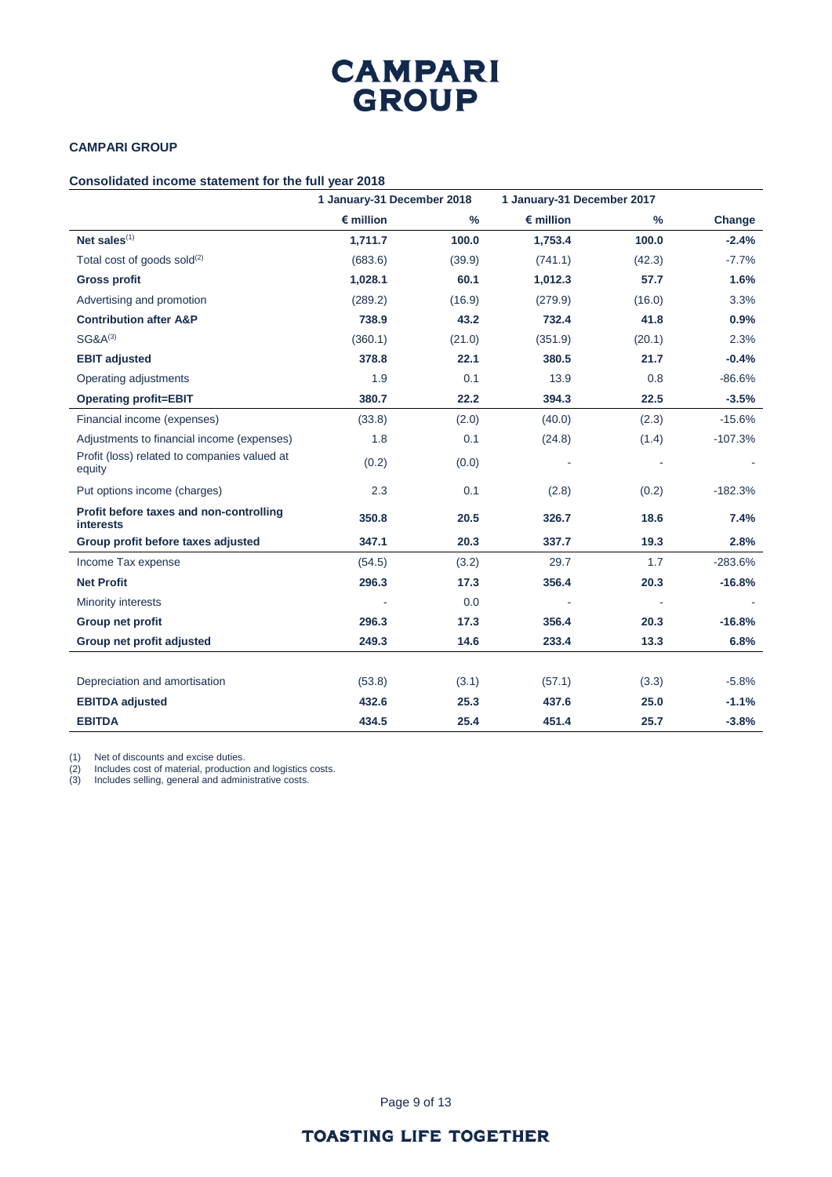## **CAMPARI GROUP**

### **Consolidated income statement for the full year 2018**

|                                                             | 1 January-31 December 2018 |               | 1 January-31 December 2017 |               |           |
|-------------------------------------------------------------|----------------------------|---------------|----------------------------|---------------|-----------|
|                                                             | $\epsilon$ million         | $\frac{0}{0}$ | $\epsilon$ million         | $\frac{0}{0}$ | Change    |
| Net sales $(1)$                                             | 1,711.7                    | 100.0         | 1,753.4                    | 100.0         | $-2.4%$   |
| Total cost of goods sold $^{(2)}$                           | (683.6)                    | (39.9)        | (741.1)                    | (42.3)        | $-7.7%$   |
| <b>Gross profit</b>                                         | 1,028.1                    | 60.1          | 1,012.3                    | 57.7          | 1.6%      |
| Advertising and promotion                                   | (289.2)                    | (16.9)        | (279.9)                    | (16.0)        | 3.3%      |
| <b>Contribution after A&amp;P</b>                           | 738.9                      | 43.2          | 732.4                      | 41.8          | 0.9%      |
| $SG&A^{(3)}$                                                | (360.1)                    | (21.0)        | (351.9)                    | (20.1)        | 2.3%      |
| <b>EBIT adjusted</b>                                        | 378.8                      | 22.1          | 380.5                      | 21.7          | $-0.4%$   |
| Operating adjustments                                       | 1.9                        | 0.1           | 13.9                       | 0.8           | $-86.6%$  |
| <b>Operating profit=EBIT</b>                                | 380.7                      | 22.2          | 394.3                      | 22.5          | $-3.5%$   |
| Financial income (expenses)                                 | (33.8)                     | (2.0)         | (40.0)                     | (2.3)         | $-15.6%$  |
| Adjustments to financial income (expenses)                  | 1.8                        | 0.1           | (24.8)                     | (1.4)         | $-107.3%$ |
| Profit (loss) related to companies valued at<br>equity      | (0.2)                      | (0.0)         |                            |               |           |
| Put options income (charges)                                | 2.3                        | 0.1           | (2.8)                      | (0.2)         | $-182.3%$ |
| Profit before taxes and non-controlling<br><b>interests</b> | 350.8                      | 20.5          | 326.7                      | 18.6          | 7.4%      |
| Group profit before taxes adjusted                          | 347.1                      | 20.3          | 337.7                      | 19.3          | 2.8%      |
| Income Tax expense                                          | (54.5)                     | (3.2)         | 29.7                       | 1.7           | $-283.6%$ |
| <b>Net Profit</b>                                           | 296.3                      | 17.3          | 356.4                      | 20.3          | $-16.8%$  |
| Minority interests                                          |                            | 0.0           |                            |               |           |
| Group net profit                                            | 296.3                      | 17.3          | 356.4                      | 20.3          | $-16.8%$  |
| Group net profit adjusted                                   | 249.3                      | 14.6          | 233.4                      | 13.3          | 6.8%      |
|                                                             |                            |               |                            |               |           |
| Depreciation and amortisation                               | (53.8)                     | (3.1)         | (57.1)                     | (3.3)         | $-5.8%$   |
| <b>EBITDA</b> adjusted                                      | 432.6                      | 25.3          | 437.6                      | 25.0          | $-1.1%$   |
| <b>EBITDA</b>                                               | 434.5                      | 25.4          | 451.4                      | 25.7          | $-3.8%$   |

(1) Net of discounts and excise duties.

(2) Includes cost of material, production and logistics costs.

(3) Includes selling, general and administrative costs.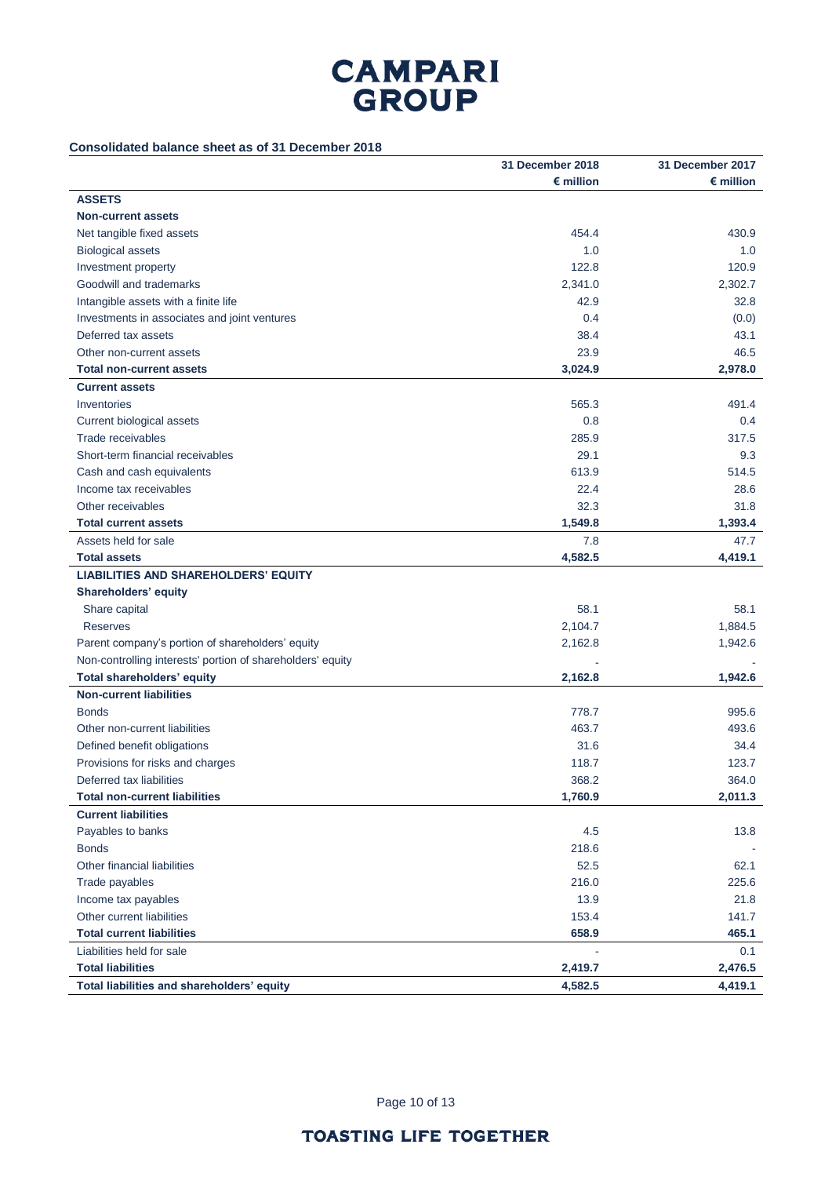## **Consolidated balance sheet as of 31 December 2018**

|                                                            | 31 December 2018   | 31 December 2017   |
|------------------------------------------------------------|--------------------|--------------------|
|                                                            | $\epsilon$ million | $\epsilon$ million |
| <b>ASSETS</b>                                              |                    |                    |
| <b>Non-current assets</b>                                  |                    |                    |
| Net tangible fixed assets                                  | 454.4              | 430.9              |
| <b>Biological assets</b>                                   | 1.0                | 1.0                |
| Investment property                                        | 122.8              | 120.9              |
| Goodwill and trademarks                                    | 2,341.0            | 2,302.7            |
| Intangible assets with a finite life                       | 42.9               | 32.8               |
| Investments in associates and joint ventures               | 0.4                | (0.0)              |
| Deferred tax assets                                        | 38.4               | 43.1               |
| Other non-current assets                                   | 23.9               | 46.5               |
| <b>Total non-current assets</b>                            | 3,024.9            | 2,978.0            |
| <b>Current assets</b>                                      |                    |                    |
| Inventories                                                | 565.3              | 491.4              |
| Current biological assets                                  | 0.8                | 0.4                |
| Trade receivables                                          | 285.9              | 317.5              |
| Short-term financial receivables                           | 29.1               | 9.3                |
| Cash and cash equivalents                                  | 613.9              | 514.5              |
| Income tax receivables                                     | 22.4               | 28.6               |
| Other receivables                                          | 32.3               | 31.8               |
| <b>Total current assets</b>                                | 1,549.8            | 1,393.4            |
| Assets held for sale                                       | 7.8                | 47.7               |
| <b>Total assets</b>                                        | 4,582.5            | 4,419.1            |
| <b>LIABILITIES AND SHAREHOLDERS' EQUITY</b>                |                    |                    |
| Shareholders' equity                                       |                    |                    |
| Share capital                                              | 58.1               | 58.1               |
| <b>Reserves</b>                                            | 2,104.7            | 1,884.5            |
| Parent company's portion of shareholders' equity           | 2,162.8            | 1,942.6            |
| Non-controlling interests' portion of shareholders' equity |                    |                    |
| <b>Total shareholders' equity</b>                          | 2,162.8            | 1,942.6            |
| <b>Non-current liabilities</b>                             |                    |                    |
| <b>Bonds</b>                                               | 778.7              | 995.6              |
| Other non-current liabilities                              | 463.7              | 493.6              |
| Defined benefit obligations                                | 31.6               | 34.4               |
| Provisions for risks and charges                           | 118.7              | 123.7              |
| Deferred tax liabilities                                   | 368.2              | 364.0              |
| <b>Total non-current liabilities</b>                       | 1,760.9            | 2,011.3            |
| <b>Current liabilities</b>                                 |                    |                    |
| Payables to banks                                          | 4.5                | 13.8               |
| <b>Bonds</b>                                               | 218.6              |                    |
| Other financial liabilities                                | 52.5               | 62.1               |
| Trade payables                                             | 216.0              | 225.6              |
| Income tax payables                                        | 13.9               | 21.8               |
| Other current liabilities                                  | 153.4              | 141.7              |
| <b>Total current liabilities</b>                           | 658.9              | 465.1              |
| Liabilities held for sale                                  |                    | 0.1                |
| <b>Total liabilities</b>                                   | 2,419.7            | 2,476.5            |
| Total liabilities and shareholders' equity                 | 4,582.5            | 4,419.1            |

Page 10 of 13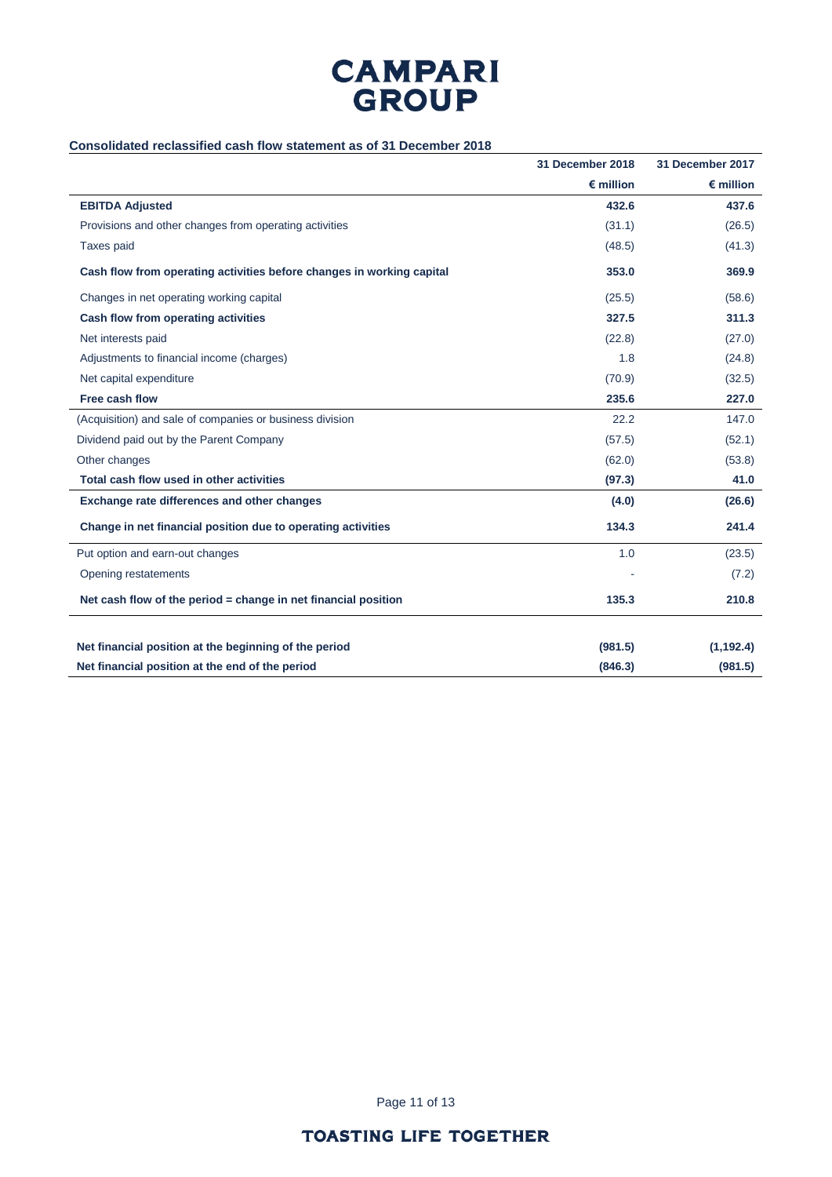

## **Consolidated reclassified cash flow statement as of 31 December 2018**

|                                                                       | 31 December 2018   | 31 December 2017   |
|-----------------------------------------------------------------------|--------------------|--------------------|
|                                                                       | $\epsilon$ million | $\epsilon$ million |
| <b>EBITDA Adjusted</b>                                                | 432.6              | 437.6              |
| Provisions and other changes from operating activities                | (31.1)             | (26.5)             |
| Taxes paid                                                            | (48.5)             | (41.3)             |
| Cash flow from operating activities before changes in working capital | 353.0              | 369.9              |
| Changes in net operating working capital                              | (25.5)             | (58.6)             |
| Cash flow from operating activities                                   | 327.5              | 311.3              |
| Net interests paid                                                    | (22.8)             | (27.0)             |
| Adjustments to financial income (charges)                             | 1.8                | (24.8)             |
| Net capital expenditure                                               | (70.9)             | (32.5)             |
| Free cash flow                                                        | 235.6              | 227.0              |
| (Acquisition) and sale of companies or business division              | 22.2               | 147.0              |
| Dividend paid out by the Parent Company                               | (57.5)             | (52.1)             |
| Other changes                                                         | (62.0)             | (53.8)             |
| Total cash flow used in other activities                              | (97.3)             | 41.0               |
| Exchange rate differences and other changes                           | (4.0)              | (26.6)             |
| Change in net financial position due to operating activities          | 134.3              | 241.4              |
| Put option and earn-out changes                                       | 1.0                | (23.5)             |
| Opening restatements                                                  |                    | (7.2)              |
| Net cash flow of the period = change in net financial position        | 135.3              | 210.8              |
| Net financial position at the beginning of the period                 | (981.5)            | (1, 192.4)         |
| Net financial position at the end of the period                       | (846.3)            | (981.5)            |
|                                                                       |                    |                    |

Page 11 of 13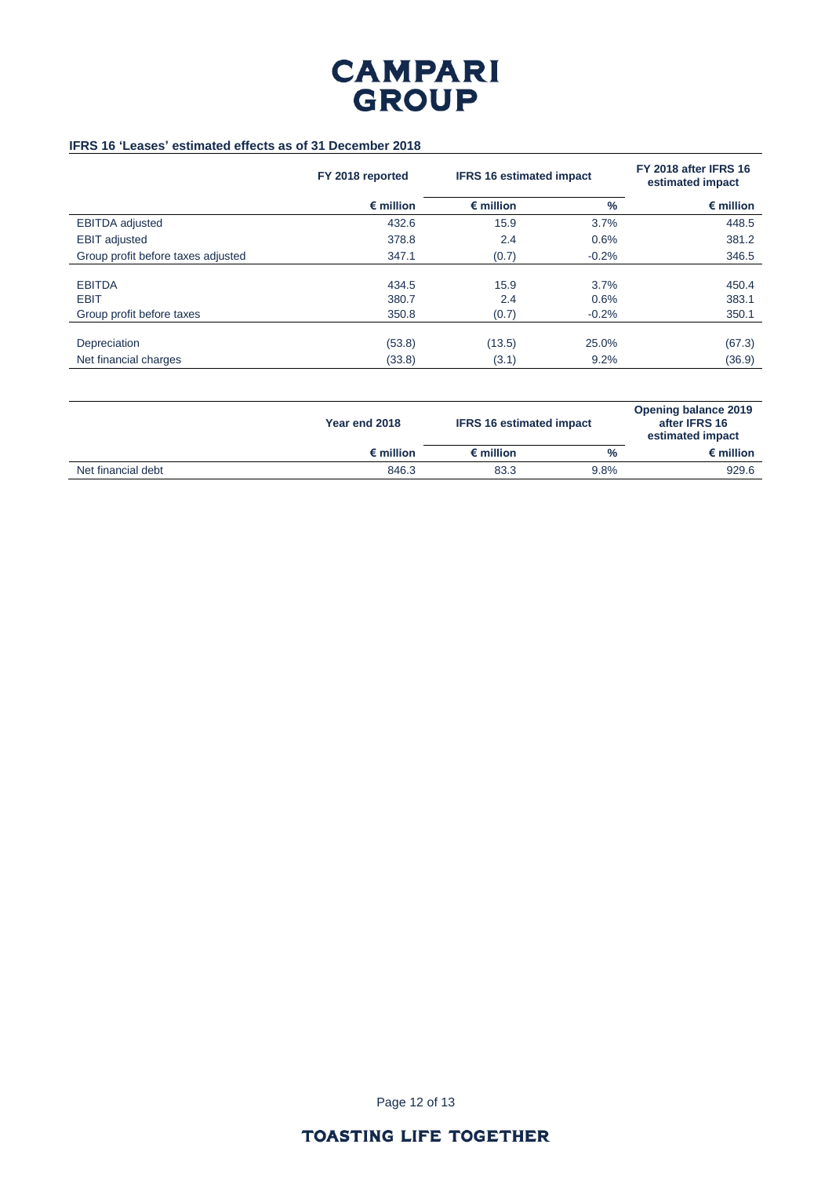

## **IFRS 16 'Leases' estimated effects as of 31 December 2018**

|                                    | FY 2018 reported   | <b>IFRS 16 estimated impact</b> |         |                    |  | FY 2018 after IFRS 16<br>estimated impact |
|------------------------------------|--------------------|---------------------------------|---------|--------------------|--|-------------------------------------------|
|                                    | $\epsilon$ million | $\epsilon$ million              | $\%$    | $\epsilon$ million |  |                                           |
| <b>EBITDA</b> adjusted             | 432.6              | 15.9                            | 3.7%    | 448.5              |  |                                           |
| <b>EBIT</b> adjusted               | 378.8              | 2.4                             | 0.6%    | 381.2              |  |                                           |
| Group profit before taxes adjusted | 347.1              | (0.7)                           | $-0.2%$ | 346.5              |  |                                           |
|                                    |                    |                                 |         |                    |  |                                           |
| <b>EBITDA</b>                      | 434.5              | 15.9                            | 3.7%    | 450.4              |  |                                           |
| <b>EBIT</b>                        | 380.7              | 2.4                             | 0.6%    | 383.1              |  |                                           |
| Group profit before taxes          | 350.8              | (0.7)                           | $-0.2%$ | 350.1              |  |                                           |
|                                    |                    |                                 |         |                    |  |                                           |
| Depreciation                       | (53.8)             | (13.5)                          | 25.0%   | (67.3)             |  |                                           |
| Net financial charges              | (33.8)             | (3.1)                           | 9.2%    | (36.9)             |  |                                           |

|                    | Year end 2018      | <b>IFRS 16 estimated impact</b> |      | <b>Opening balance 2019</b><br>after IFRS 16<br>estimated impact |
|--------------------|--------------------|---------------------------------|------|------------------------------------------------------------------|
|                    | $\epsilon$ million | $\epsilon$ million              | $\%$ | $\epsilon$ million                                               |
| Net financial debt | 846.3              | 83.3                            | 9.8% | 929.6                                                            |

Page 12 of 13